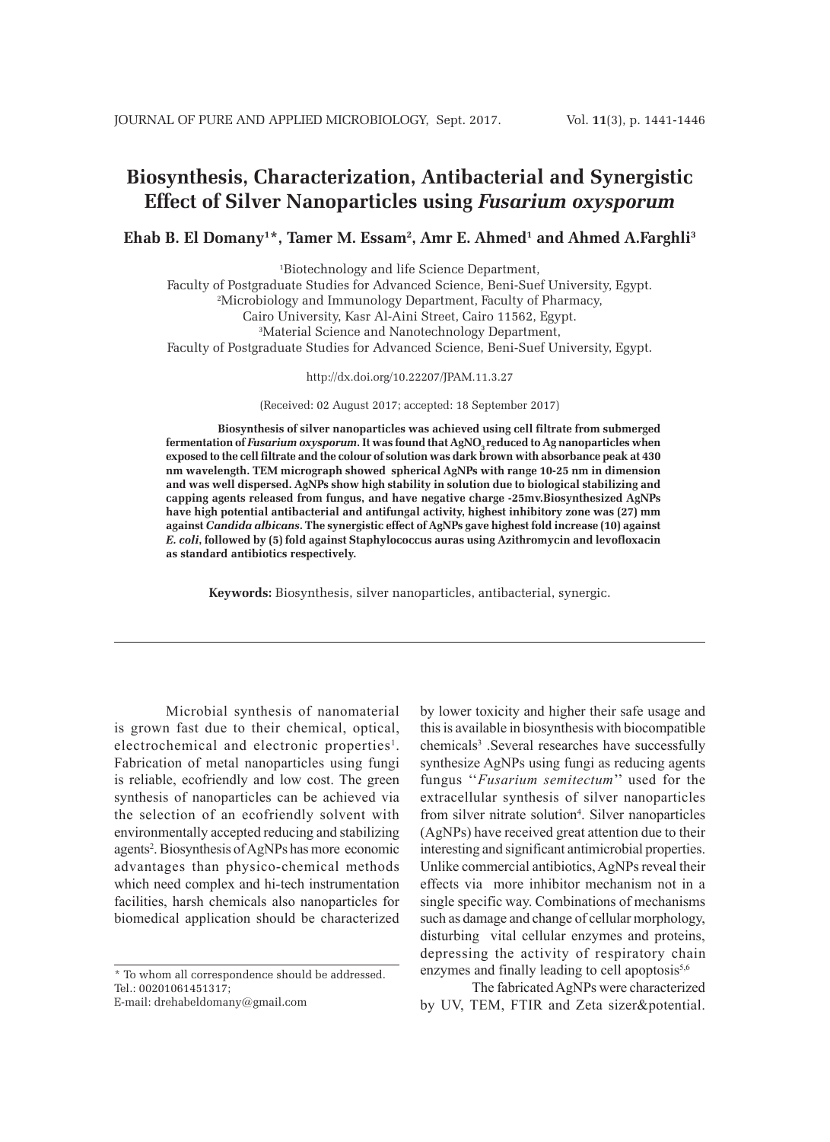# **Biosynthesis, Characterization, Antibacterial and Synergistic Effect of Silver Nanoparticles using** *Fusarium oxysporum*

**Ehab B. El Domany1 \*, Tamer M. Essam2 , Amr E. Ahmed1 and Ahmed A.Farghli3**

1 Biotechnology and life Science Department,

Faculty of Postgraduate Studies for Advanced Science, Beni-Suef University, Egypt.

2 Microbiology and Immunology Department, Faculty of Pharmacy,

Cairo University, Kasr Al-Aini Street, Cairo 11562, Egypt.

3 Material Science and Nanotechnology Department,

Faculty of Postgraduate Studies for Advanced Science, Beni-Suef University, Egypt.

http://dx.doi.org/10.22207/JPAM.11.3.27

(Received: 02 August 2017; accepted: 18 September 2017)

**Biosynthesis of silver nanoparticles was achieved using cell filtrate from submerged**  fermentation of *Fusarium oxysporum*. It was found that AgNO<sub>3</sub> reduced to Ag nanoparticles when **exposed to the cell filtrate and the colour of solution was dark brown with absorbance peak at 430 nm wavelength. TEM micrograph showed spherical AgNPs with range 10-25 nm in dimension and was well dispersed. AgNPs show high stability in solution due to biological stabilizing and capping agents released from fungus, and have negative charge -25mv.Biosynthesized AgNPs have high potential antibacterial and antifungal activity, highest inhibitory zone was (27) mm against** *Candida albicans***. The synergistic effect of AgNPs gave highest fold increase (10) against**  *E. coli***, followed by (5) fold against Staphylococcus auras using Azithromycin and levofloxacin as standard antibiotics respectively.**

**Keywords:** Biosynthesis, silver nanoparticles, antibacterial, synergic.

Microbial synthesis of nanomaterial is grown fast due to their chemical, optical, electrochemical and electronic properties<sup>1</sup>. Fabrication of metal nanoparticles using fungi is reliable, ecofriendly and low cost. The green synthesis of nanoparticles can be achieved via the selection of an ecofriendly solvent with environmentally accepted reducing and stabilizing agents<sup>2</sup>. Biosynthesis of AgNPs has more economic advantages than physico-chemical methods which need complex and hi-tech instrumentation facilities, harsh chemicals also nanoparticles for biomedical application should be characterized

\* To whom all correspondence should be addressed. Tel.: 00201061451317;

E-mail: drehabeldomany@gmail.com

by lower toxicity and higher their safe usage and this is available in biosynthesis with biocompatible chemicals3 .Several researches have successfully synthesize AgNPs using fungi as reducing agents fungus ''*Fusarium semitectum*'' used for the extracellular synthesis of silver nanoparticles from silver nitrate solution<sup>4</sup>. Silver nanoparticles (AgNPs) have received great attention due to their interesting and significant antimicrobial properties. Unlike commercial antibiotics, AgNPs reveal their effects via more inhibitor mechanism not in a single specific way. Combinations of mechanisms such as damage and change of cellular morphology, disturbing vital cellular enzymes and proteins, depressing the activity of respiratory chain enzymes and finally leading to cell apoptosis $5,6$ 

The fabricated AgNPs were characterized by UV, TEM, FTIR and Zeta sizer&potential.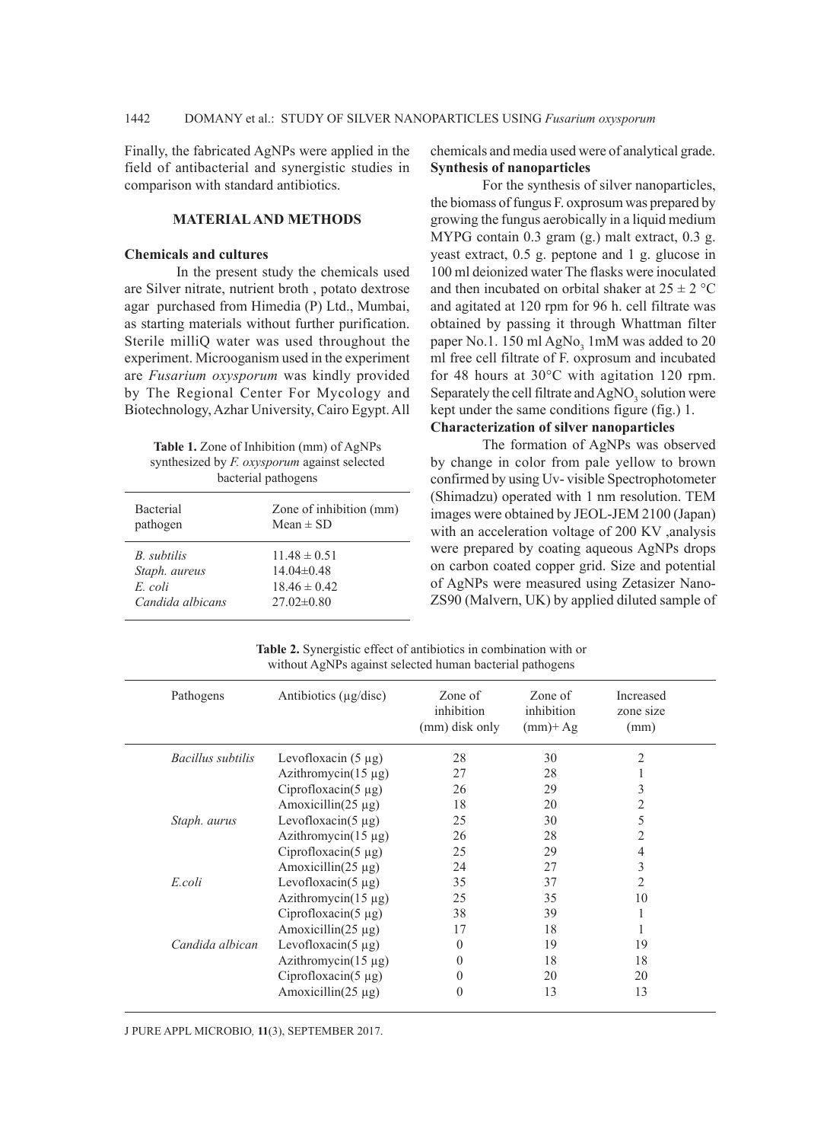Finally, the fabricated AgNPs were applied in the field of antibacterial and synergistic studies in comparison with standard antibiotics.

### **MATERIAL AND METHODS**

## **Chemicals and cultures**

In the present study the chemicals used are Silver nitrate, nutrient broth , potato dextrose agar purchased from Himedia (P) Ltd., Mumbai, as starting materials without further purification. Sterile milliQ water was used throughout the experiment. Microoganism used in the experiment are *Fusarium oxysporum* was kindly provided by The Regional Center For Mycology and Biotechnology, Azhar University, Cairo Egypt. All

| <b>Table 1.</b> Zone of Inhibition (mm) of AgNPs    |
|-----------------------------------------------------|
| synthesized by <i>F. oxysporum</i> against selected |
| bacterial pathogens                                 |

| <b>Bacterial</b> | Zone of inhibition (mm) |
|------------------|-------------------------|
| pathogen         | Mean $\pm$ SD           |
| B. subtilis      | $11.48 \pm 0.51$        |
| Staph. aureus    | 14 $04\pm0.48$          |
| $E$ coli         | $18.46 \pm 0.42$        |
| Candida albicans | $27.02\pm0.80$          |

chemicals and media used were of analytical grade. **Synthesis of nanoparticles**

For the synthesis of silver nanoparticles, the biomass of fungus F. oxprosum was prepared by growing the fungus aerobically in a liquid medium MYPG contain 0.3 gram (g.) malt extract, 0.3 g. yeast extract, 0.5 g. peptone and 1 g. glucose in 100 ml deionized water The flasks were inoculated and then incubated on orbital shaker at  $25 \pm 2$  °C and agitated at 120 rpm for 96 h. cell filtrate was obtained by passing it through Whattman filter paper No.1. 150 ml AgNo<sub>3</sub> 1mM was added to 20 ml free cell filtrate of F. oxprosum and incubated for 48 hours at 30°C with agitation 120 rpm. Separately the cell filtrate and  $\text{AgNO}_3$  solution were kept under the same conditions figure (fig.) 1. **Characterization of silver nanoparticles** 

The formation of AgNPs was observed by change in color from pale yellow to brown confirmed by using Uv- visible Spectrophotometer (Shimadzu) operated with 1 nm resolution. TEM images were obtained by JEOL-JEM 2100 (Japan) with an acceleration voltage of 200 KV ,analysis were prepared by coating aqueous AgNPs drops on carbon coated copper grid. Size and potential of AgNPs were measured using Zetasizer Nano-ZS90 (Malvern, UK) by applied diluted sample of

**Table 2.** Synergistic effect of antibiotics in combination with or without AgNPs against selected human bacterial pathogens

| Pathogens         | Antibiotics $(\mu$ g/disc) | Zone of<br>inhibition<br>(mm) disk only | Zone of<br>inhibition<br>$(mm)$ + Ag | Increased<br>zone size<br>(mm) |  |
|-------------------|----------------------------|-----------------------------------------|--------------------------------------|--------------------------------|--|
| Bacillus subtilis | Levofloxacin $(5 \mu g)$   | 28                                      | 30                                   | $\mathfrak{D}$                 |  |
|                   | Azithromycin $(15 \mu g)$  | 27                                      | 28                                   |                                |  |
|                   | Ciprofloxacin( $5 \mu$ g)  | 26                                      | 29                                   | 3                              |  |
|                   | Amoxicillin( $25 \mu$ g)   | 18                                      | 20                                   |                                |  |
| Staph. aurus      | Levofloxacin( $5 \mu$ g)   | 25                                      | 30                                   | 5                              |  |
|                   | Azithromycin $(15 \mu g)$  | 26                                      | 28                                   |                                |  |
|                   | Ciprofloxacin( $5 \mu$ g)  | 25                                      | 29                                   | 4                              |  |
|                   | Amoxicillin( $25 \mu$ g)   | 24                                      | 27                                   | 3                              |  |
| E.coli            | Levofloxacin( $5 \mu$ g)   | 35                                      | 37                                   |                                |  |
|                   | Azithromycin( $15 \mu$ g)  | 25                                      | 35                                   | 10                             |  |
|                   | Ciprofloxacin( $5 \mu$ g)  | 38                                      | 39                                   |                                |  |
|                   | Amoxicillin( $25 \mu$ g)   | 17                                      | 18                                   |                                |  |
| Candida albican   | Levofloxacin( $5 \mu$ g)   | $\Omega$                                | 19                                   | 19                             |  |
|                   | Azithromycin $(15 \mu g)$  | $\theta$                                | 18                                   | 18                             |  |
|                   | Ciprofloxacin( $5 \mu$ g)  | $\theta$                                | 20                                   | 20                             |  |
|                   | Amoxicillin( $25 \mu$ g)   | $\theta$                                | 13                                   | 13                             |  |
|                   |                            |                                         |                                      |                                |  |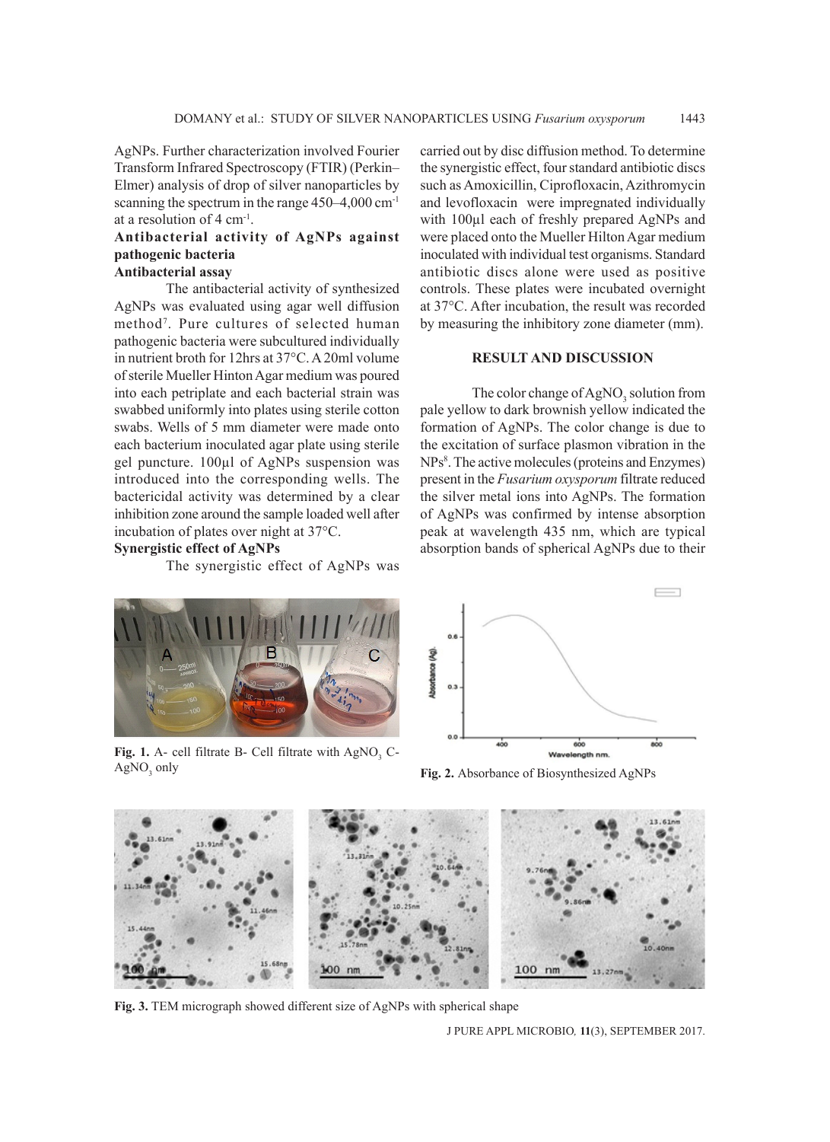AgNPs. Further characterization involved Fourier Transform Infrared Spectroscopy (FTIR) (Perkin– Elmer) analysis of drop of silver nanoparticles by scanning the spectrum in the range 450–4,000 cm<sup>-1</sup> at a resolution of 4 cm-1.

## **Antibacterial activity of AgNPs against pathogenic bacteria**

## **Antibacterial assay**

The antibacterial activity of synthesized AgNPs was evaluated using agar well diffusion method7 . Pure cultures of selected human pathogenic bacteria were subcultured individually in nutrient broth for 12hrs at 37°C. A 20ml volume of sterile Mueller Hinton Agar medium was poured into each petriplate and each bacterial strain was swabbed uniformly into plates using sterile cotton swabs. Wells of 5 mm diameter were made onto each bacterium inoculated agar plate using sterile gel puncture. 100µl of AgNPs suspension was introduced into the corresponding wells. The bactericidal activity was determined by a clear inhibition zone around the sample loaded well after incubation of plates over night at 37°C.

**Synergistic effect of AgNPs**

The synergistic effect of AgNPs was

carried out by disc diffusion method. To determine the synergistic effect, four standard antibiotic discs such as Amoxicillin, Ciprofloxacin, Azithromycin and levofloxacin were impregnated individually with 100µl each of freshly prepared AgNPs and were placed onto the Mueller Hilton Agar medium inoculated with individual test organisms. Standard antibiotic discs alone were used as positive controls. These plates were incubated overnight at 37°C. After incubation, the result was recorded by measuring the inhibitory zone diameter (mm).

## **RESULT AND DISCUSSION**

The color change of AgNO<sub>3</sub> solution from pale yellow to dark brownish yellow indicated the formation of AgNPs. The color change is due to the excitation of surface plasmon vibration in the NPs<sup>8</sup>. The active molecules (proteins and Enzymes) present in the *Fusarium oxysporum* filtrate reduced the silver metal ions into AgNPs. The formation of AgNPs was confirmed by intense absorption peak at wavelength 435 nm, which are typical absorption bands of spherical AgNPs due to their



**Fig. 1.** A- cell filtrate B- Cell filtrate with  $AgNO_3$  C- $AgNO<sub>3</sub>$  only



Fig. 2. Absorbance of Biosynthesized AgNPs



**Fig. 3.** TEM micrograph showed different size of AgNPs with spherical shape

J PURE APPL MICROBIO*,* **11**(3), SEPTEMBER 2017.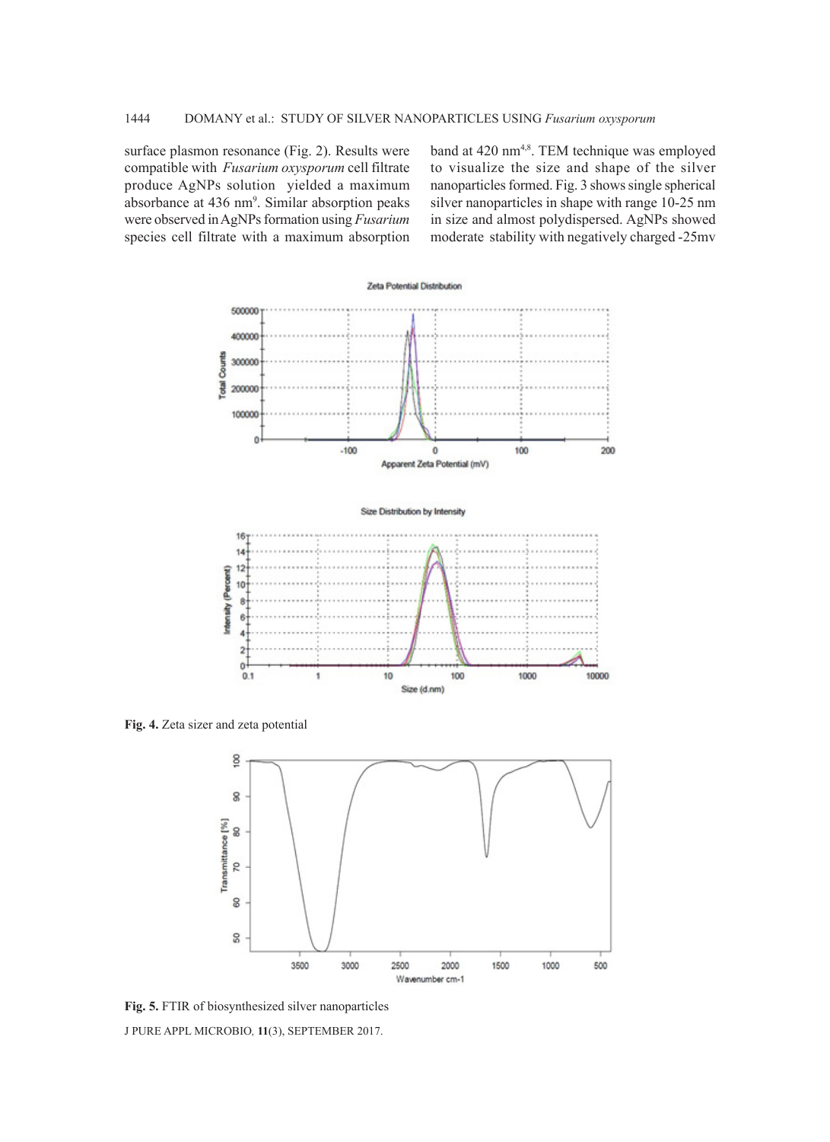surface plasmon resonance (Fig. 2). Results were compatible with *Fusarium oxysporum* cell filtrate produce AgNPs solution yielded a maximum absorbance at 436 nm<sup>9</sup>. Similar absorption peaks were observed in AgNPs formation using *Fusarium*  species cell filtrate with a maximum absorption

band at 420 nm<sup>4,8</sup>. TEM technique was employed to visualize the size and shape of the silver nanoparticles formed. Fig. 3 shows single spherical silver nanoparticles in shape with range 10-25 nm in size and almost polydispersed. AgNPs showed moderate stability with negatively charged -25mv



**Fig. 4.** Zeta sizer and zeta potential



J PURE APPL MICROBIO*,* **11**(3), SEPTEMBER 2017. **Fig. 5.** FTIR of biosynthesized silver nanoparticles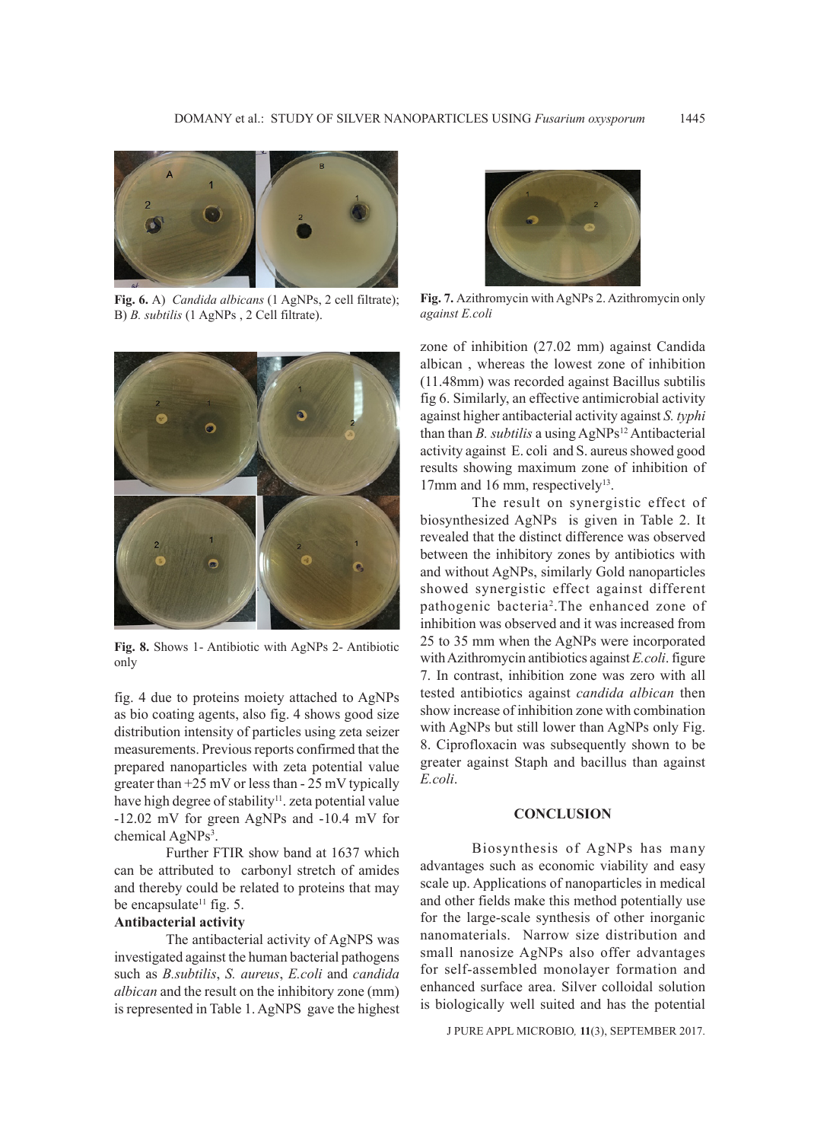

**Fig. 6.** A) *Candida albicans* (1 AgNPs, 2 cell filtrate); B) *B. subtilis* (1 AgNPs , 2 Cell filtrate).



**Fig. 8.** Shows 1- Antibiotic with AgNPs 2- Antibiotic only

fig. 4 due to proteins moiety attached to AgNPs as bio coating agents, also fig. 4 shows good size distribution intensity of particles using zeta seizer measurements. Previous reports confirmed that the prepared nanoparticles with zeta potential value greater than  $+25$  mV or less than  $-25$  mV typically have high degree of stability<sup>11</sup>. zeta potential value -12.02 mV for green AgNPs and -10.4 mV for chemical AgNPs<sup>3</sup>.

Further FTIR show band at 1637 which can be attributed to carbonyl stretch of amides and thereby could be related to proteins that may be encapsulate<sup>11</sup> fig. 5.

## **Antibacterial activity**

The antibacterial activity of AgNPS was investigated against the human bacterial pathogens such as *B.subtilis*, *S. aureus*, *E.coli* and *candida albican* and the result on the inhibitory zone (mm) is represented in Table 1. AgNPS gave the highest



**Fig. 7.** Azithromycin with AgNPs 2. Azithromycin only *against E.coli*

zone of inhibition (27.02 mm) against Candida albican , whereas the lowest zone of inhibition (11.48mm) was recorded against Bacillus subtilis fig 6. Similarly, an effective antimicrobial activity against higher antibacterial activity against *S. typhi* than than *B. subtilis* a using  $AgNPs^{12}$  Antibacterial activity against E. coli and S. aureus showed good results showing maximum zone of inhibition of 17mm and 16 mm, respectively<sup>13</sup>.

The result on synergistic effect of biosynthesized AgNPs is given in Table 2. It revealed that the distinct difference was observed between the inhibitory zones by antibiotics with and without AgNPs, similarly Gold nanoparticles showed synergistic effect against different pathogenic bacteria2 .The enhanced zone of inhibition was observed and it was increased from 25 to 35 mm when the AgNPs were incorporated with Azithromycin antibiotics against *E.coli*. figure 7. In contrast, inhibition zone was zero with all tested antibiotics against *candida albican* then show increase of inhibition zone with combination with AgNPs but still lower than AgNPs only Fig. 8. Ciprofloxacin was subsequently shown to be greater against Staph and bacillus than against *E.coli*.

#### **CONCLUSION**

Biosynthesis of AgNPs has many advantages such as economic viability and easy scale up. Applications of nanoparticles in medical and other fields make this method potentially use for the large-scale synthesis of other inorganic nanomaterials. Narrow size distribution and small nanosize AgNPs also offer advantages for self-assembled monolayer formation and enhanced surface area. Silver colloidal solution is biologically well suited and has the potential

J PURE APPL MICROBIO*,* **11**(3), SEPTEMBER 2017.